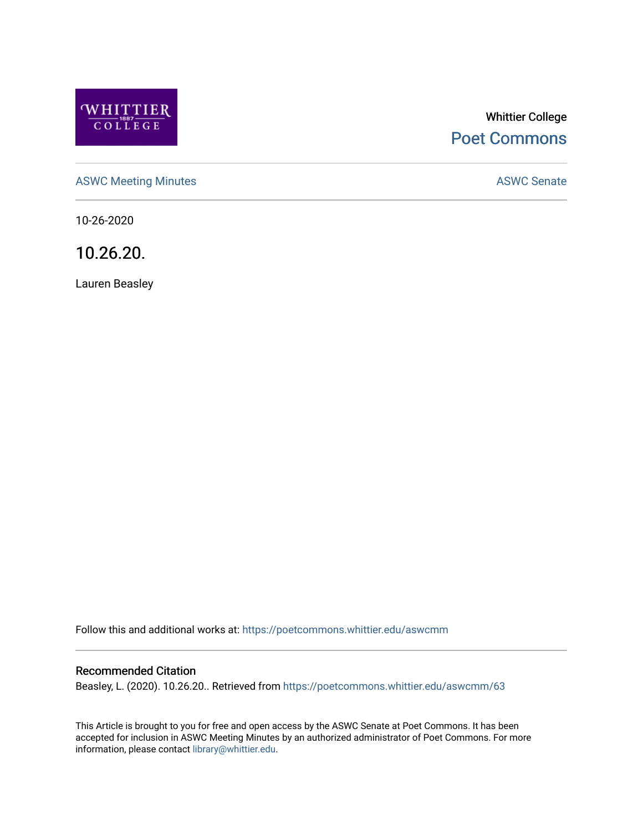

# Whittier College [Poet Commons](https://poetcommons.whittier.edu/)

[ASWC Meeting Minutes](https://poetcommons.whittier.edu/aswcmm) **ASWC Senate** 

10-26-2020

10.26.20.

Lauren Beasley

Follow this and additional works at: [https://poetcommons.whittier.edu/aswcmm](https://poetcommons.whittier.edu/aswcmm?utm_source=poetcommons.whittier.edu%2Faswcmm%2F63&utm_medium=PDF&utm_campaign=PDFCoverPages)

#### Recommended Citation

Beasley, L. (2020). 10.26.20.. Retrieved from [https://poetcommons.whittier.edu/aswcmm/63](https://poetcommons.whittier.edu/aswcmm/63?utm_source=poetcommons.whittier.edu%2Faswcmm%2F63&utm_medium=PDF&utm_campaign=PDFCoverPages)

This Article is brought to you for free and open access by the ASWC Senate at Poet Commons. It has been accepted for inclusion in ASWC Meeting Minutes by an authorized administrator of Poet Commons. For more information, please contact [library@whittier.edu.](mailto:library@whittier.edu)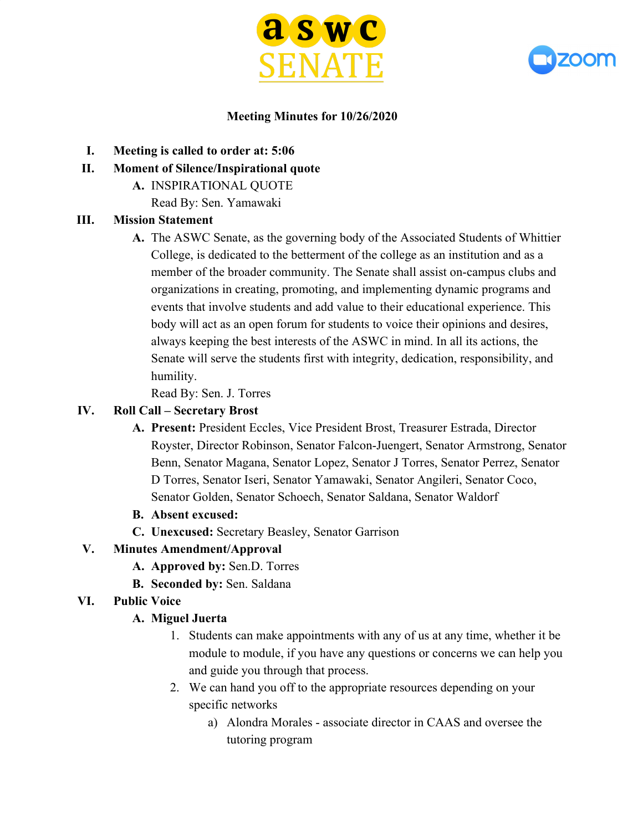



#### **Meeting Minutes for 10/26/2020**

- **I. Meeting is called to order at: 5:06**
- **II. Moment of Silence/Inspirational quote**
	- **A.** INSPIRATIONAL QUOTE
		- Read By: Sen. Yamawaki

#### **III. Mission Statement**

**A.** The ASWC Senate, as the governing body of the Associated Students of Whittier College, is dedicated to the betterment of the college as an institution and as a member of the broader community. The Senate shall assist on-campus clubs and organizations in creating, promoting, and implementing dynamic programs and events that involve students and add value to their educational experience. This body will act as an open forum for students to voice their opinions and desires, always keeping the best interests of the ASWC in mind. In all its actions, the Senate will serve the students first with integrity, dedication, responsibility, and humility.

Read By: Sen. J. Torres

### **IV. Roll Call – Secretary Brost**

- **A. Present:** President Eccles, Vice President Brost, Treasurer Estrada, Director Royster, Director Robinson, Senator Falcon-Juengert, Senator Armstrong, Senator Benn, Senator Magana, Senator Lopez, Senator J Torres, Senator Perrez, Senator D Torres, Senator Iseri, Senator Yamawaki, Senator Angileri, Senator Coco, Senator Golden, Senator Schoech, Senator Saldana, Senator Waldorf
- **B. Absent excused:**
- **C. Unexcused:** Secretary Beasley, Senator Garrison

### **V. Minutes Amendment/Approval**

- **A. Approved by:** Sen.D. Torres
- **B. Seconded by:** Sen. Saldana
- **VI. Public Voice**

### **A. Miguel Juerta**

- 1. Students can make appointments with any of us at any time, whether it be module to module, if you have any questions or concerns we can help you and guide you through that process.
- 2. We can hand you off to the appropriate resources depending on your specific networks
	- a) Alondra Morales associate director in CAAS and oversee the tutoring program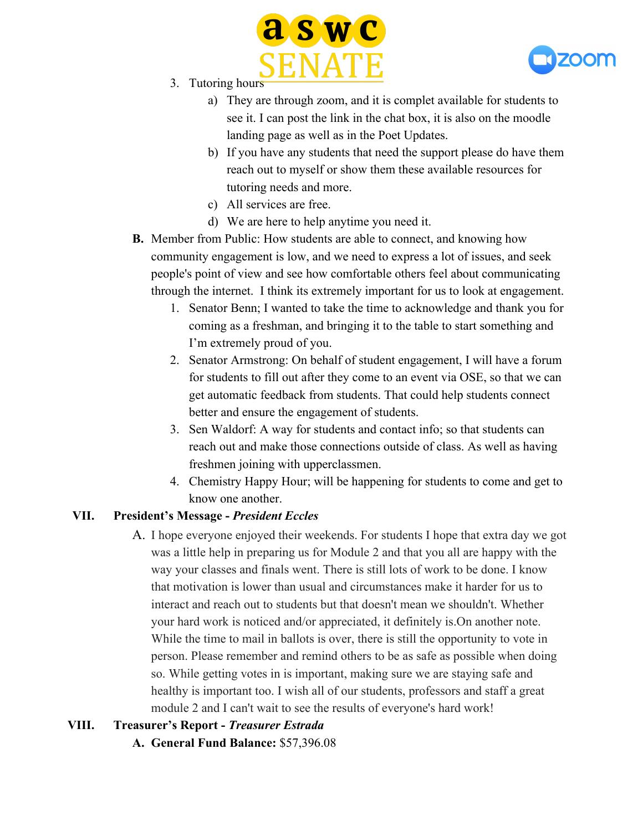



- 3. Tutoring hours
	- a) They are through zoom, and it is complet available for students to see it. I can post the link in the chat box, it is also on the moodle landing page as well as in the Poet Updates.
	- b) If you have any students that need the support please do have them reach out to myself or show them these available resources for tutoring needs and more.
	- c) All services are free.
	- d) We are here to help anytime you need it.
- **B.** Member from Public: How students are able to connect, and knowing how community engagement is low, and we need to express a lot of issues, and seek people's point of view and see how comfortable others feel about communicating through the internet. I think its extremely important for us to look at engagement.
	- 1. Senator Benn; I wanted to take the time to acknowledge and thank you for coming as a freshman, and bringing it to the table to start something and I'm extremely proud of you.
	- 2. Senator Armstrong: On behalf of student engagement, I will have a forum for students to fill out after they come to an event via OSE, so that we can get automatic feedback from students. That could help students connect better and ensure the engagement of students.
	- 3. Sen Waldorf: A way for students and contact info; so that students can reach out and make those connections outside of class. As well as having freshmen joining with upperclassmen.
	- 4. Chemistry Happy Hour; will be happening for students to come and get to know one another.

#### **VII. President's Message -** *President Eccles*

A. I hope everyone enjoyed their weekends. For students I hope that extra day we got was a little help in preparing us for Module 2 and that you all are happy with the way your classes and finals went. There is still lots of work to be done. I know that motivation is lower than usual and circumstances make it harder for us to interact and reach out to students but that doesn't mean we shouldn't. Whether your hard work is noticed and/or appreciated, it definitely is.On another note. While the time to mail in ballots is over, there is still the opportunity to vote in person. Please remember and remind others to be as safe as possible when doing so. While getting votes in is important, making sure we are staying safe and healthy is important too. I wish all of our students, professors and staff a great module 2 and I can't wait to see the results of everyone's hard work!

#### **VIII. Treasurer's Report -** *Treasurer Estrada*

**A. General Fund Balance:** \$57,396.08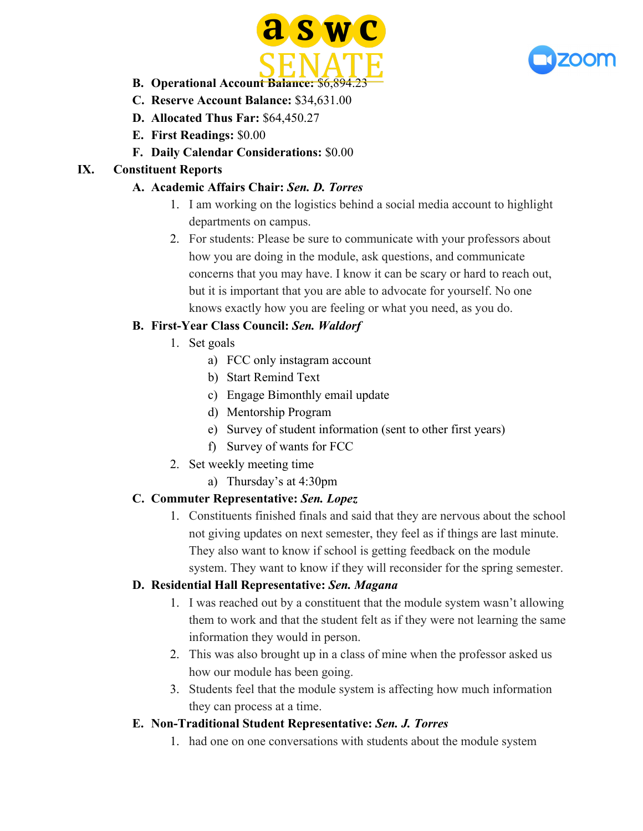



- **B.** Operational Account Balance: \$6,894.23
- **C. Reserve Account Balance:** \$34,631.00
- **D. Allocated Thus Far:** \$64,450.27
- **E. First Readings:** \$0.00
- **F. Daily Calendar Considerations:** \$0.00

### **IX. Constituent Reports**

### **A. Academic Affairs Chair:** *Sen. D. Torres*

- 1. I am working on the logistics behind a social media account to highlight departments on campus.
- 2. For students: Please be sure to communicate with your professors about how you are doing in the module, ask questions, and communicate concerns that you may have. I know it can be scary or hard to reach out, but it is important that you are able to advocate for yourself. No one knows exactly how you are feeling or what you need, as you do.

# **B. First-Year Class Council:** *Sen. Waldorf*

- 1. Set goals
	- a) FCC only instagram account
	- b) Start Remind Text
	- c) Engage Bimonthly email update
	- d) Mentorship Program
	- e) Survey of student information (sent to other first years)
	- f) Survey of wants for FCC
- 2. Set weekly meeting time
	- a) Thursday's at 4:30pm

### **C. Commuter Representative:** *Sen. Lopez*

1. Constituents finished finals and said that they are nervous about the school not giving updates on next semester, they feel as if things are last minute. They also want to know if school is getting feedback on the module system. They want to know if they will reconsider for the spring semester.

### **D. Residential Hall Representative:** *Sen. Magana*

- 1. I was reached out by a constituent that the module system wasn't allowing them to work and that the student felt as if they were not learning the same information they would in person.
- 2. This was also brought up in a class of mine when the professor asked us how our module has been going.
- 3. Students feel that the module system is affecting how much information they can process at a time.

### **E. Non-Traditional Student Representative:** *Sen. J. Torres*

1. had one on one conversations with students about the module system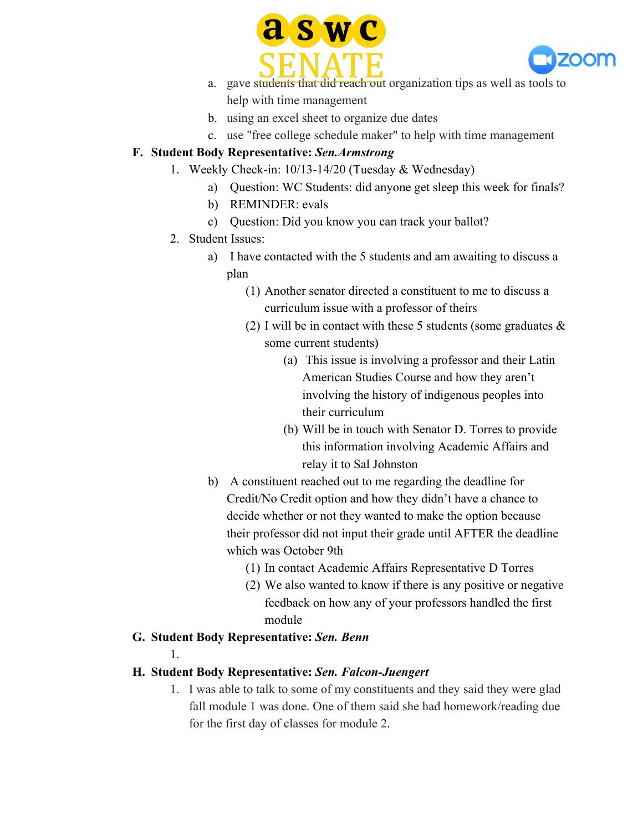



- a. gave students that did reach out organization tips as well as tools to help with time management
- b. using an excel sheet to organize due dates
- c. use "free college schedule maker" to help with time management

### **F. Student Body Representative:** *Sen.Armstrong*

- 1. Weekly Check-in: 10/13-14/20 (Tuesday & Wednesday)
	- a) Question: WC Students: did anyone get sleep this week for finals?
	- b) REMINDER: evals
	- c) Question: Did you know you can track your ballot?
	- 2. Student Issues:
		- a) I have contacted with the 5 students and am awaiting to discuss a plan
			- (1) Another senator directed a constituent to me to discuss a curriculum issue with a professor of theirs
			- (2) I will be in contact with these 5 students (some graduates  $\&$ some current students)
				- (a) This issue is involving a professor and their Latin American Studies Course and how they aren't involving the history of indigenous peoples into their curriculum
				- (b) Will be in touch with Senator D. Torres to provide this information involving Academic Affairs and relay it to Sal Johnston
		- b) A constituent reached out to me regarding the deadline for Credit/No Credit option and how they didn't have a chance to decide whether or not they wanted to make the option because their professor did not input their grade until AFTER the deadline which was October 9th
			- (1) In contact Academic Affairs Representative D Torres
			- (2) We also wanted to know if there is any positive or negative feedback on how any of your professors handled the first module

### **G. Student Body Representative:** *Sen. Benn*

1.

### **H. Student Body Representative:** *Sen. Falcon-Juengert*

1. I was able to talk to some of my constituents and they said they were glad fall module 1 was done. One of them said she had homework/reading due for the first day of classes for module 2.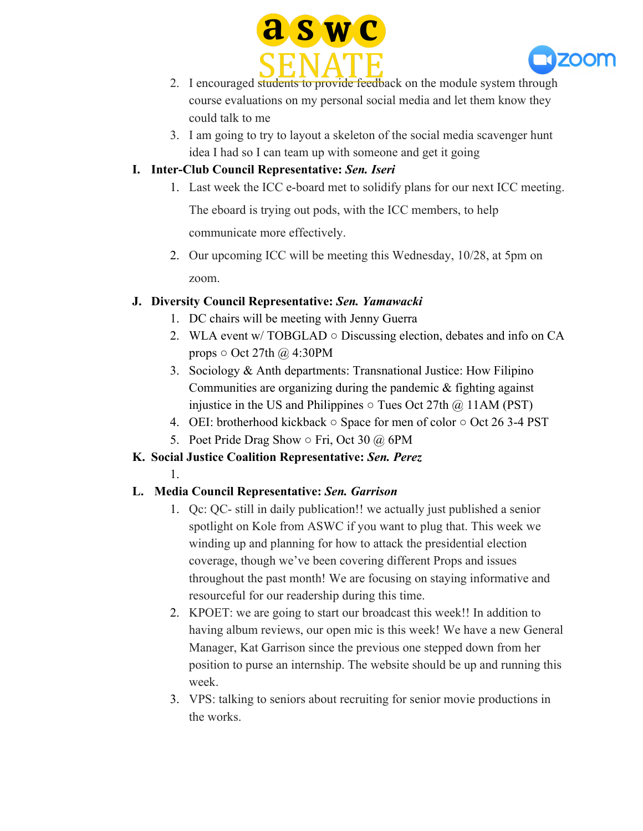



- 2. I encouraged students to provide feedback on the module system through course evaluations on my personal social media and let them know they could talk to me
- 3. I am going to try to layout a skeleton of the social media scavenger hunt idea I had so I can team up with someone and get it going

### **I. Inter-Club Council Representative:** *Sen. Iseri*

1. Last week the ICC e-board met to solidify plans for our next ICC meeting.

The eboard is trying out pods, with the ICC members, to help

communicate more effectively.

2. Our upcoming ICC will be meeting this Wednesday, 10/28, at 5pm on zoom.

### **J. Diversity Council Representative:** *Sen. Yamawacki*

- 1. DC chairs will be meeting with Jenny Guerra
- 2. WLA event w/ TOBGLAD Discussing election, debates and info on CA props  $\circ$  Oct 27th @ 4:30PM
- 3. Sociology & Anth departments: Transnational Justice: How Filipino Communities are organizing during the pandemic & fighting against injustice in the US and Philippines  $\circ$  Tues Oct 27th  $\omega$  11AM (PST)
- 4. OEI: brotherhood kickback Space for men of color Oct 26 3-4 PST
- 5. Poet Pride Drag Show Fri, Oct 30 @ 6PM
- **K. Social Justice Coalition Representative:** *Sen. Perez*
	- 1.

### **L. Media Council Representative:** *Sen. Garrison*

- 1. Qc: QC- still in daily publication!! we actually just published a senior spotlight on Kole from ASWC if you want to plug that. This week we winding up and planning for how to attack the presidential election coverage, though we've been covering different Props and issues throughout the past month! We are focusing on staying informative and resourceful for our readership during this time.
- 2. KPOET: we are going to start our broadcast this week!! In addition to having album reviews, our open mic is this week! We have a new General Manager, Kat Garrison since the previous one stepped down from her position to purse an internship. The website should be up and running this week.
- 3. VPS: talking to seniors about recruiting for senior movie productions in the works.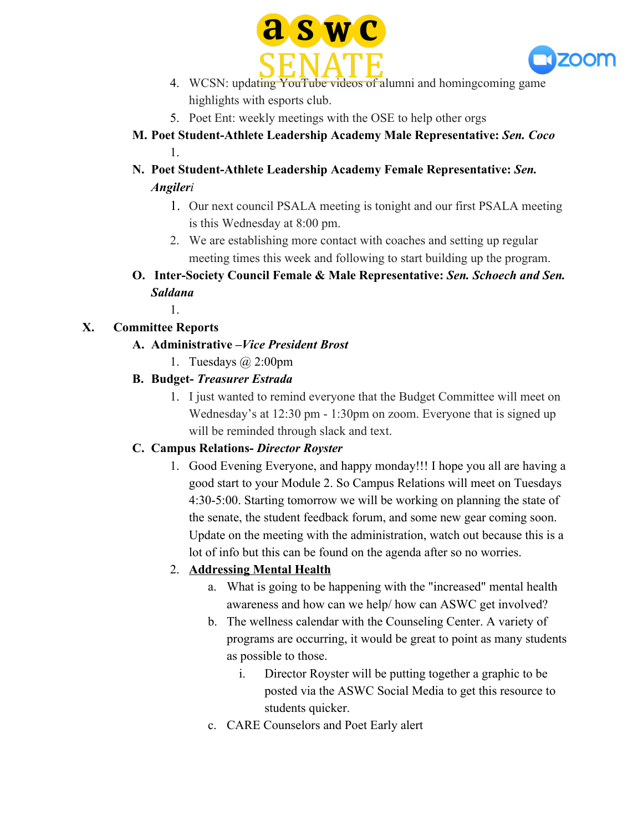



- 4. WCSN: updating YouTube videos of alumni and homingcoming game highlights with esports club.
- 5. Poet Ent: weekly meetings with the OSE to help other orgs
- **M. Poet Student-Athlete Leadership Academy Male Representative:** *Sen. Coco* 1.
- **N. Poet Student-Athlete Leadership Academy Female Representative:** *Sen. Angileri*
	- 1. Our next council PSALA meeting is tonight and our first PSALA meeting is this Wednesday at 8:00 pm.
	- 2. We are establishing more contact with coaches and setting up regular meeting times this week and following to start building up the program.
- **O. Inter-Society Council Female & Male Representative:** *Sen. Schoech and Sen. Saldana*

### **X. Committee Reports**

1.

- **A. Administrative –***Vice President Brost*
	- 1. Tuesdays @ 2:00pm
- **B. Budget-** *Treasurer Estrada*
	- 1. I just wanted to remind everyone that the Budget Committee will meet on Wednesday's at 12:30 pm - 1:30pm on zoom. Everyone that is signed up will be reminded through slack and text.

### **C. Campus Relations-** *Director Royster*

1. Good Evening Everyone, and happy monday!!! I hope you all are having a good start to your Module 2. So Campus Relations will meet on Tuesdays 4:30-5:00. Starting tomorrow we will be working on planning the state of the senate, the student feedback forum, and some new gear coming soon. Update on the meeting with the administration, watch out because this is a lot of info but this can be found on the agenda after so no worries.

### 2. **Addressing Mental Health**

- a. What is going to be happening with the "increased" mental health awareness and how can we help/ how can ASWC get involved?
- b. The wellness calendar with the Counseling Center. A variety of programs are occurring, it would be great to point as many students as possible to those.
	- i. Director Royster will be putting together a graphic to be posted via the ASWC Social Media to get this resource to students quicker.
- c. CARE Counselors and Poet Early alert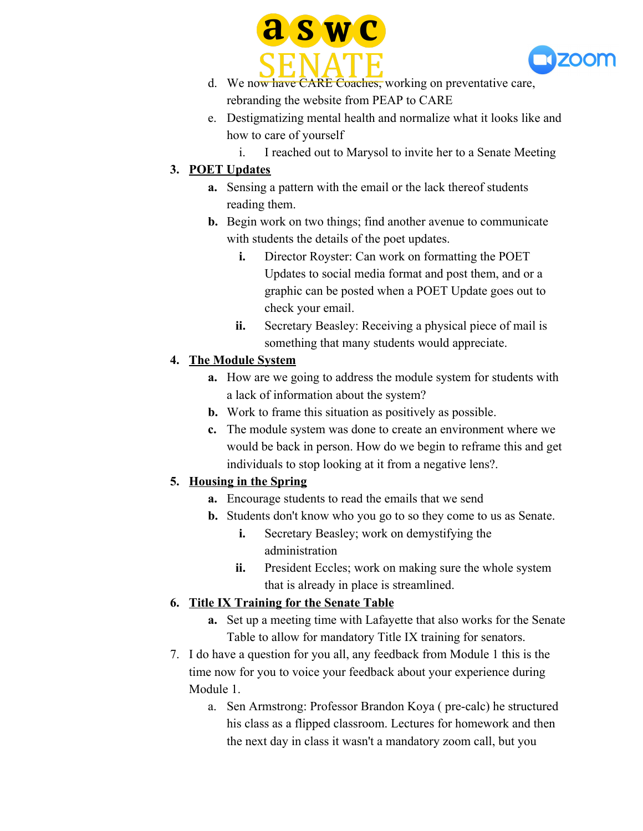



- d. We now have CARE Coaches, working on preventative care, rebranding the website from PEAP to CARE
- e. Destigmatizing mental health and normalize what it looks like and how to care of yourself
	- i. I reached out to Marysol to invite her to a Senate Meeting

### **3. POET Updates**

- **a.** Sensing a pattern with the email or the lack thereof students reading them.
- **b.** Begin work on two things; find another avenue to communicate with students the details of the poet updates.
	- **i.** Director Royster: Can work on formatting the POET Updates to social media format and post them, and or a graphic can be posted when a POET Update goes out to check your email.
	- **ii.** Secretary Beasley: Receiving a physical piece of mail is something that many students would appreciate.

# **4. The Module System**

- **a.** How are we going to address the module system for students with a lack of information about the system?
- **b.** Work to frame this situation as positively as possible.
- **c.** The module system was done to create an environment where we would be back in person. How do we begin to reframe this and get individuals to stop looking at it from a negative lens?.

# **5. Housing in the Spring**

- **a.** Encourage students to read the emails that we send
- **b.** Students don't know who you go to so they come to us as Senate.
	- **i.** Secretary Beasley; work on demystifying the administration
	- **ii.** President Eccles; work on making sure the whole system that is already in place is streamlined.

# **6. Title IX Training for the Senate Table**

- **a.** Set up a meeting time with Lafayette that also works for the Senate Table to allow for mandatory Title IX training for senators.
- 7. I do have a question for you all, any feedback from Module 1 this is the time now for you to voice your feedback about your experience during Module 1.
	- a. Sen Armstrong: Professor Brandon Koya ( pre-calc) he structured his class as a flipped classroom. Lectures for homework and then the next day in class it wasn't a mandatory zoom call, but you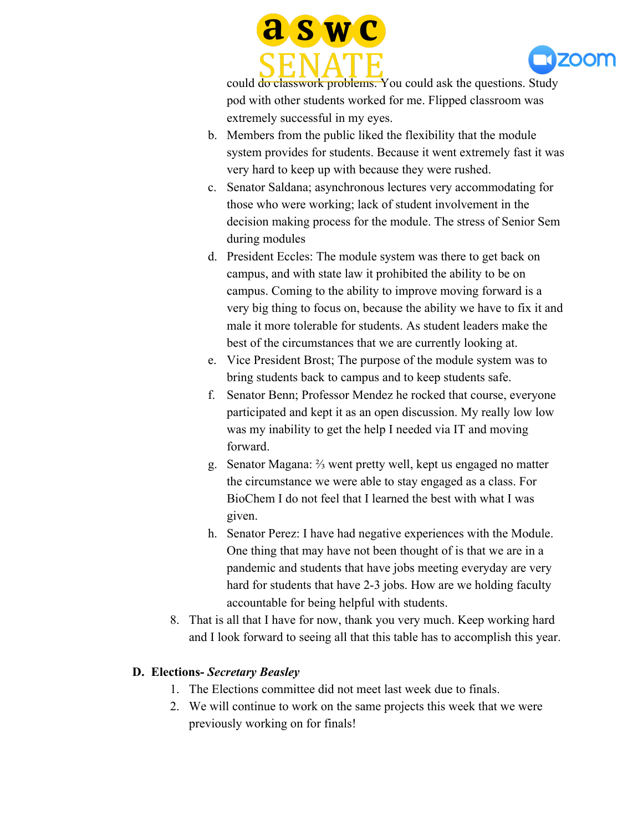



could do classwork problems. You could ask the questions. Study pod with other students worked for me. Flipped classroom was extremely successful in my eyes.

- b. Members from the public liked the flexibility that the module system provides for students. Because it went extremely fast it was very hard to keep up with because they were rushed.
- c. Senator Saldana; asynchronous lectures very accommodating for those who were working; lack of student involvement in the decision making process for the module. The stress of Senior Sem during modules
- d. President Eccles: The module system was there to get back on campus, and with state law it prohibited the ability to be on campus. Coming to the ability to improve moving forward is a very big thing to focus on, because the ability we have to fix it and male it more tolerable for students. As student leaders make the best of the circumstances that we are currently looking at.
- e. Vice President Brost; The purpose of the module system was to bring students back to campus and to keep students safe.
- f. Senator Benn; Professor Mendez he rocked that course, everyone participated and kept it as an open discussion. My really low low was my inability to get the help I needed via IT and moving forward.
- g. Senator Magana: ⅔ went pretty well, kept us engaged no matter the circumstance we were able to stay engaged as a class. For BioChem I do not feel that I learned the best with what I was given.
- h. Senator Perez: I have had negative experiences with the Module. One thing that may have not been thought of is that we are in a pandemic and students that have jobs meeting everyday are very hard for students that have 2-3 jobs. How are we holding faculty accountable for being helpful with students.
- 8. That is all that I have for now, thank you very much. Keep working hard and I look forward to seeing all that this table has to accomplish this year.

### **D. Elections-** *Secretary Beasley*

- 1. The Elections committee did not meet last week due to finals.
- 2. We will continue to work on the same projects this week that we were previously working on for finals!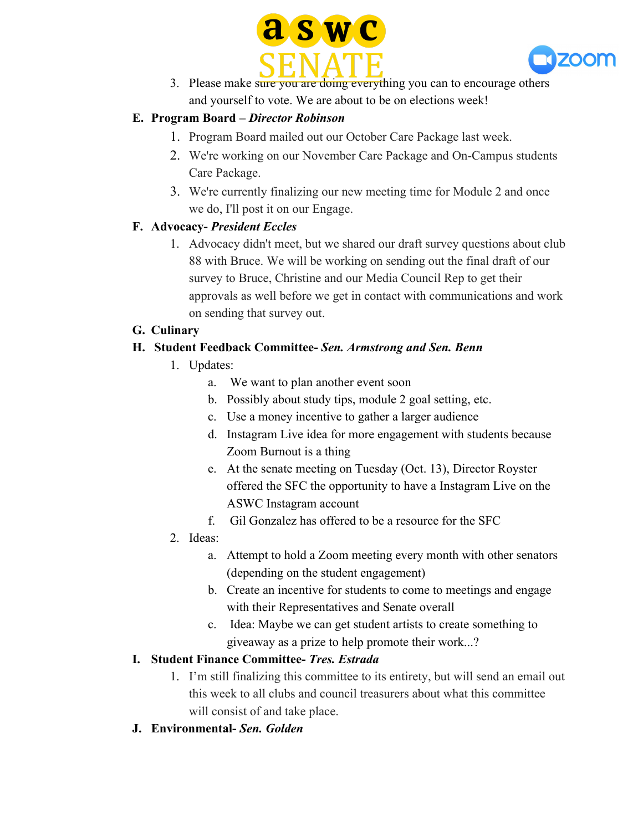



3. Please make sure you are doing everything you can to encourage others and yourself to vote. We are about to be on elections week!

### **E. Program Board –** *Director Robinson*

- 1. Program Board mailed out our October Care Package last week.
- 2. We're working on our November Care Package and On-Campus students Care Package.
- 3. We're currently finalizing our new meeting time for Module 2 and once we do, I'll post it on our Engage.

#### **F. Advocacy-** *President Eccles*

1. Advocacy didn't meet, but we shared our draft survey questions about club 88 with Bruce. We will be working on sending out the final draft of our survey to Bruce, Christine and our Media Council Rep to get their approvals as well before we get in contact with communications and work on sending that survey out.

#### **G. Culinary**

#### **H. Student Feedback Committee-** *Sen. Armstrong and Sen. Benn*

- 1. Updates:
	- a. We want to plan another event soon
	- b. Possibly about study tips, module 2 goal setting, etc.
	- c. Use a money incentive to gather a larger audience
	- d. Instagram Live idea for more engagement with students because Zoom Burnout is a thing
	- e. At the senate meeting on Tuesday (Oct. 13), Director Royster offered the SFC the opportunity to have a Instagram Live on the ASWC Instagram account
	- f. Gil Gonzalez has offered to be a resource for the SFC
- 2. Ideas:
	- a. Attempt to hold a Zoom meeting every month with other senators (depending on the student engagement)
	- b. Create an incentive for students to come to meetings and engage with their Representatives and Senate overall
	- c. Idea: Maybe we can get student artists to create something to giveaway as a prize to help promote their work...?

### **I. Student Finance Committee-** *Tres. Estrada*

- 1. I'm still finalizing this committee to its entirety, but will send an email out this week to all clubs and council treasurers about what this committee will consist of and take place.
- **J. Environmental-** *Sen. Golden*